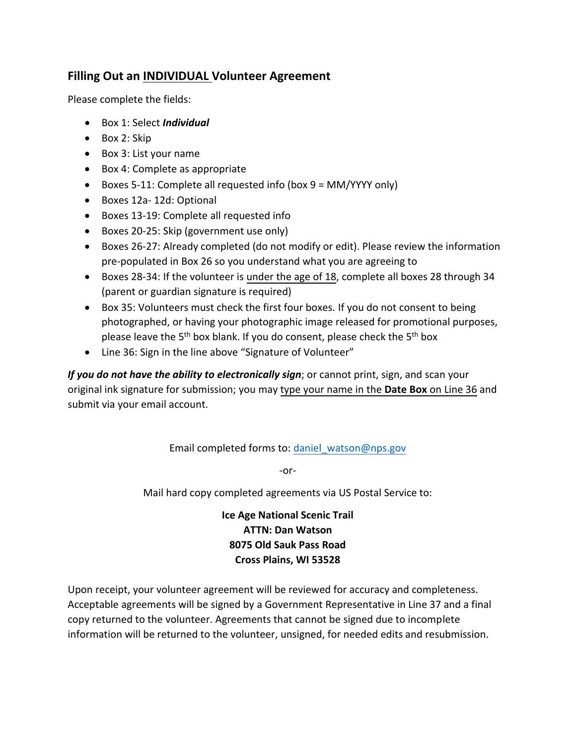## **Filling Out an INDIVIDUAL Volunteer Agreement**

Please complete the fields:

- Box 1: Select *Individual*
- Box 2: Skip
- Box 3: List your name
- Box 4: Complete as appropriate
- Boxes 5-11: Complete all requested info (box 9 = MM/YYYY only)
- Boxes 12a- 12d: Optional
- Boxes 13-19: Complete all requested info
- Boxes 20-25: Skip (government use only)
- Boxes 26-27: Already completed (do not modify or edit). Please review the information pre-populated in Box 26 so you understand what you are agreeing to
- Boxes 28-34: If the volunteer is under the age of 18, complete all boxes 28 through 34 (parent or guardian signature is required)
- Box 35: Volunteers must check the first four boxes. If you do not consent to being photographed, or having your photographic image released for promotional purposes, please leave the  $5<sup>th</sup>$  box blank. If you do consent, please check the  $5<sup>th</sup>$  box
- Line 36: Sign in the line above "Signature of Volunteer"

*If you do not have the ability to electronically sign*; or cannot print, sign, and scan your original ink signature for submission; you may type your name in the **Date Box** on Line 36 and submit via your email account.

Email completed forms to: [daniel\\_watson@nps.gov](mailto:daniel_watson@nps.gov)

-or-

Mail hard copy completed agreements via US Postal Service to:

**Ice Age National Scenic Trail ATTN: Dan Watson 8075 Old Sauk Pass Road Cross Plains, WI 53528** 

Upon receipt, your volunteer agreement will be reviewed for accuracy and completeness. Acceptable agreements will be signed by a Government Representative in Line 37 and a final copy returned to the volunteer. Agreements that cannot be signed due to incomplete information will be returned to the volunteer, unsigned, for needed edits and resubmission.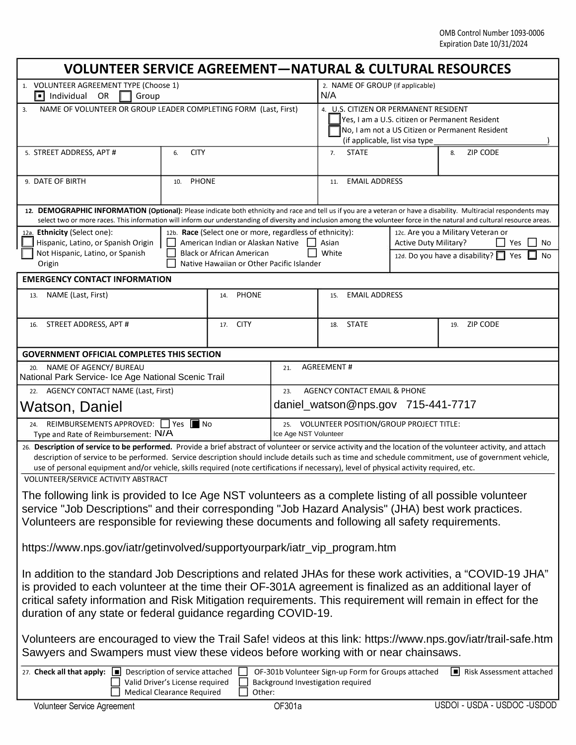| <b>VOLUNTEER SERVICE AGREEMENT-NATURAL &amp; CULTURAL RESOURCES</b>                                                                                                                                                                                                                                                                                                                                                                                            |                                     |                                                                                                                    |                                                                         |                                                                                                                                                                               |  |                                                                                               |  |
|----------------------------------------------------------------------------------------------------------------------------------------------------------------------------------------------------------------------------------------------------------------------------------------------------------------------------------------------------------------------------------------------------------------------------------------------------------------|-------------------------------------|--------------------------------------------------------------------------------------------------------------------|-------------------------------------------------------------------------|-------------------------------------------------------------------------------------------------------------------------------------------------------------------------------|--|-----------------------------------------------------------------------------------------------|--|
| 1. VOLUNTEER AGREEMENT TYPE (Choose 1)<br>$\Box$ Individual<br>Group<br><b>OR</b>                                                                                                                                                                                                                                                                                                                                                                              |                                     |                                                                                                                    |                                                                         | 2. NAME OF GROUP (if applicable)<br>N/A                                                                                                                                       |  |                                                                                               |  |
| NAME OF VOLUNTEER OR GROUP LEADER COMPLETING FORM (Last, First)<br>3.                                                                                                                                                                                                                                                                                                                                                                                          |                                     |                                                                                                                    |                                                                         | 4. U.S. CITIZEN OR PERMANENT RESIDENT<br>Yes, I am a U.S. citizen or Permanent Resident<br>No, I am not a US Citizen or Permanent Resident<br>(if applicable, list visa type) |  |                                                                                               |  |
| 5. STREET ADDRESS, APT #                                                                                                                                                                                                                                                                                                                                                                                                                                       | <b>CITY</b><br>6.                   |                                                                                                                    |                                                                         | <b>STATE</b><br>7.                                                                                                                                                            |  | <b>ZIP CODE</b><br>8.                                                                         |  |
| 9. DATE OF BIRTH                                                                                                                                                                                                                                                                                                                                                                                                                                               | <b>PHONE</b><br>10.                 |                                                                                                                    |                                                                         | <b>EMAIL ADDRESS</b><br>11.                                                                                                                                                   |  |                                                                                               |  |
| 12. DEMOGRAPHIC INFORMATION (Optional): Please indicate both ethnicity and race and tell us if you are a veteran or have a disability. Multiracial respondents may<br>select two or more races. This information will inform our understanding of diversity and inclusion among the volunteer force in the natural and cultural resource areas.                                                                                                                |                                     |                                                                                                                    |                                                                         |                                                                                                                                                                               |  |                                                                                               |  |
| 12a. Ethnicity (Select one):<br>Hispanic, Latino, or Spanish Origin<br>Not Hispanic, Latino, or Spanish<br>Origin                                                                                                                                                                                                                                                                                                                                              |                                     | American Indian or Alaskan Native<br><b>Black or African American</b><br>Native Hawaiian or Other Pacific Islander |                                                                         | 12b. Race (Select one or more, regardless of ethnicity):<br><b>Active Duty Military?</b><br>Asian<br>White                                                                    |  | 12c. Are you a Military Veteran or<br>Yes<br>No<br>12d. Do you have a disability? 1 Yes<br>No |  |
| <b>EMERGENCY CONTACT INFORMATION</b>                                                                                                                                                                                                                                                                                                                                                                                                                           |                                     |                                                                                                                    |                                                                         |                                                                                                                                                                               |  |                                                                                               |  |
| NAME (Last, First)<br>13.                                                                                                                                                                                                                                                                                                                                                                                                                                      |                                     | <b>PHONE</b><br>14.                                                                                                |                                                                         | <b>EMAIL ADDRESS</b><br>15.                                                                                                                                                   |  |                                                                                               |  |
| STREET ADDRESS, APT #<br>16.                                                                                                                                                                                                                                                                                                                                                                                                                                   |                                     | <b>CITY</b><br>17.                                                                                                 |                                                                         | <b>STATE</b><br>18.                                                                                                                                                           |  | <b>ZIP CODE</b><br>19.                                                                        |  |
| <b>GOVERNMENT OFFICIAL COMPLETES THIS SECTION</b>                                                                                                                                                                                                                                                                                                                                                                                                              |                                     |                                                                                                                    |                                                                         |                                                                                                                                                                               |  |                                                                                               |  |
| NAME OF AGENCY/ BUREAU<br>20.<br>National Park Service- Ice Age National Scenic Trail                                                                                                                                                                                                                                                                                                                                                                          | <b>AGREEMENT#</b><br>21.            |                                                                                                                    |                                                                         |                                                                                                                                                                               |  |                                                                                               |  |
| <b>AGENCY CONTACT NAME (Last, First)</b><br>22.                                                                                                                                                                                                                                                                                                                                                                                                                | AGENCY CONTACT EMAIL & PHONE<br>23. |                                                                                                                    |                                                                         |                                                                                                                                                                               |  |                                                                                               |  |
| Watson, Daniel                                                                                                                                                                                                                                                                                                                                                                                                                                                 | daniel_watson@nps.gov 715-441-7717  |                                                                                                                    |                                                                         |                                                                                                                                                                               |  |                                                                                               |  |
| REIMBURSEMENTS APPROVED: Yes In No<br>24.<br>Type and Rate of Reimbursement: N/A                                                                                                                                                                                                                                                                                                                                                                               |                                     |                                                                                                                    | VOLUNTEER POSITION/GROUP PROJECT TITLE:<br>25.<br>Ice Age NST Volunteer |                                                                                                                                                                               |  |                                                                                               |  |
| 26. Description of service to be performed. Provide a brief abstract of volunteer or service activity and the location of the volunteer activity, and attach<br>description of service to be performed. Service description should include details such as time and schedule commitment, use of government vehicle,<br>use of personal equipment and/or vehicle, skills required (note certifications if necessary), level of physical activity required, etc. |                                     |                                                                                                                    |                                                                         |                                                                                                                                                                               |  |                                                                                               |  |
| VOLUNTEER/SERVICE ACTIVITY ABSTRACT<br>The following link is provided to Ice Age NST volunteers as a complete listing of all possible volunteer<br>service "Job Descriptions" and their corresponding "Job Hazard Analysis" (JHA) best work practices.<br>Volunteers are responsible for reviewing these documents and following all safety requirements.                                                                                                      |                                     |                                                                                                                    |                                                                         |                                                                                                                                                                               |  |                                                                                               |  |
| https://www.nps.gov/iatr/getinvolved/supportyourpark/iatr_vip_program.htm                                                                                                                                                                                                                                                                                                                                                                                      |                                     |                                                                                                                    |                                                                         |                                                                                                                                                                               |  |                                                                                               |  |
| In addition to the standard Job Descriptions and related JHAs for these work activities, a "COVID-19 JHA"<br>is provided to each volunteer at the time their OF-301A agreement is finalized as an additional layer of<br>critical safety information and Risk Mitigation requirements. This requirement will remain in effect for the<br>duration of any state or federal guidance regarding COVID-19.                                                         |                                     |                                                                                                                    |                                                                         |                                                                                                                                                                               |  |                                                                                               |  |
| Volunteers are encouraged to view the Trail Safe! videos at this link: https://www.nps.gov/iatr/trail-safe.htm<br>Sawyers and Swampers must view these videos before working with or near chainsaws.                                                                                                                                                                                                                                                           |                                     |                                                                                                                    |                                                                         |                                                                                                                                                                               |  |                                                                                               |  |
| 27. Check all that apply: $\Box$ Description of service attached<br>OF-301b Volunteer Sign-up Form for Groups attached<br>Risk Assessment attached<br>Valid Driver's License required<br>Background Investigation required<br>Medical Clearance Required<br>Other:                                                                                                                                                                                             |                                     |                                                                                                                    |                                                                         |                                                                                                                                                                               |  |                                                                                               |  |
| Volunteer Service Agreement                                                                                                                                                                                                                                                                                                                                                                                                                                    |                                     |                                                                                                                    | OF301a                                                                  |                                                                                                                                                                               |  | USDOI - USDA - USDOC -USDOD                                                                   |  |